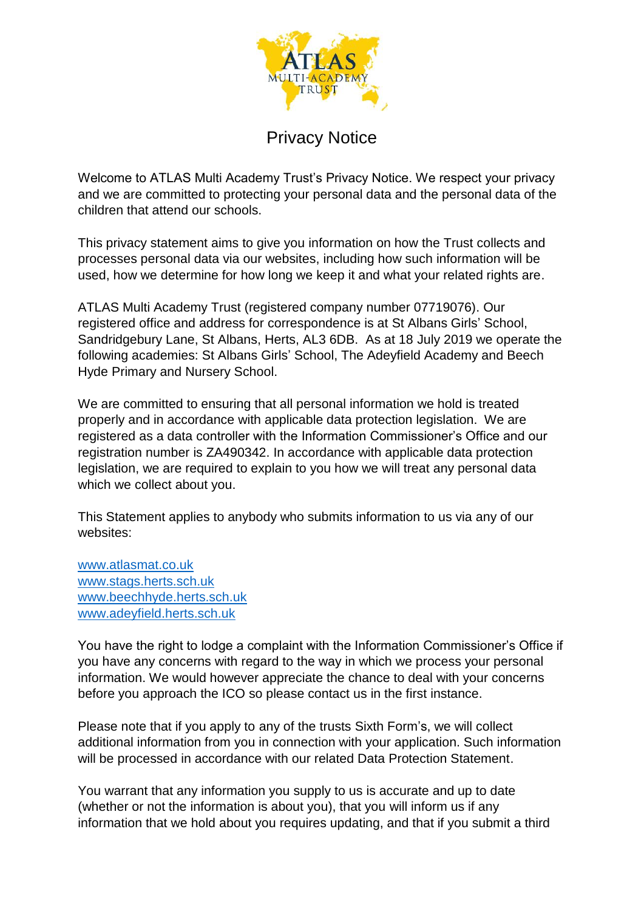

# Privacy Notice

Welcome to ATLAS Multi Academy Trust's Privacy Notice. We respect your privacy and we are committed to protecting your personal data and the personal data of the children that attend our schools.

This privacy statement aims to give you information on how the Trust collects and processes personal data via our websites, including how such information will be used, how we determine for how long we keep it and what your related rights are.

ATLAS Multi Academy Trust (registered company number 07719076). Our registered office and address for correspondence is at St Albans Girls' School, Sandridgebury Lane, St Albans, Herts, AL3 6DB. As at 18 July 2019 we operate the following academies: St Albans Girls' School, The Adeyfield Academy and Beech Hyde Primary and Nursery School.

We are committed to ensuring that all personal information we hold is treated properly and in accordance with applicable data protection legislation. We are registered as a data controller with the Information Commissioner's Office and our registration number is ZA490342. In accordance with applicable data protection legislation, we are required to explain to you how we will treat any personal data which we collect about you.

This Statement applies to anybody who submits information to us via any of our websites:

www.atlasmat.co.uk [www.stags.herts.sch.uk](http://www.stags.herts.sch.uk/) [www.beechhyde.herts.sch.uk](http://www.beechhyde.herts.sch.uk/) [www.adeyfield.herts.sch.uk](http://www.adeyfield.herts.sch.uk/)

You have the right to lodge a complaint with the Information Commissioner's Office if you have any concerns with regard to the way in which we process your personal information. We would however appreciate the chance to deal with your concerns before you approach the ICO so please contact us in the first instance.

Please note that if you apply to any of the trusts Sixth Form's, we will collect additional information from you in connection with your application. Such information will be processed in accordance with our related Data Protection Statement.

You warrant that any information you supply to us is accurate and up to date (whether or not the information is about you), that you will inform us if any information that we hold about you requires updating, and that if you submit a third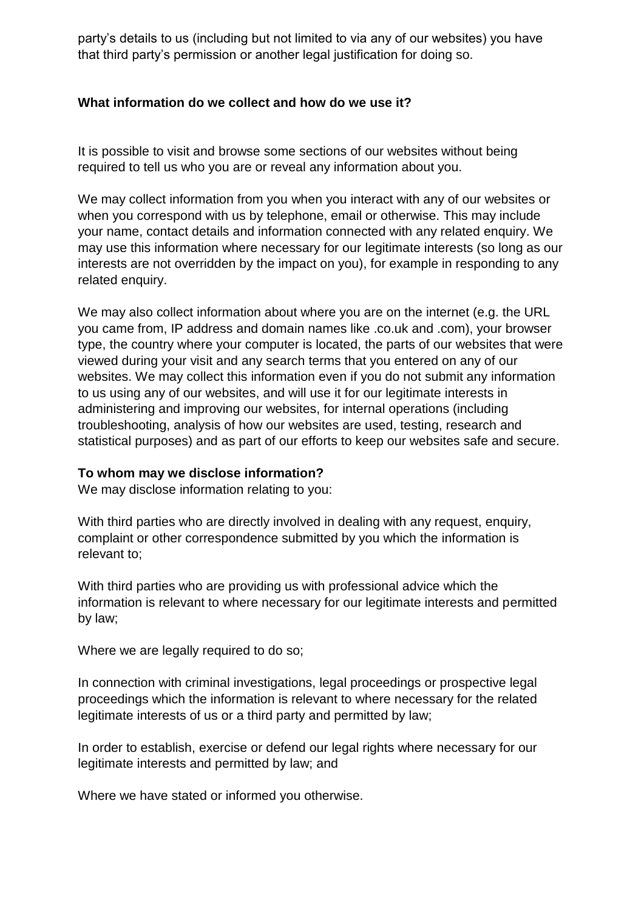party's details to us (including but not limited to via any of our websites) you have that third party's permission or another legal justification for doing so.

#### **What information do we collect and how do we use it?**

It is possible to visit and browse some sections of our websites without being required to tell us who you are or reveal any information about you.

We may collect information from you when you interact with any of our websites or when you correspond with us by telephone, email or otherwise. This may include your name, contact details and information connected with any related enquiry. We may use this information where necessary for our legitimate interests (so long as our interests are not overridden by the impact on you), for example in responding to any related enquiry.

We may also collect information about where you are on the internet (e.g. the URL you came from, IP address and domain names like .co.uk and .com), your browser type, the country where your computer is located, the parts of our websites that were viewed during your visit and any search terms that you entered on any of our websites. We may collect this information even if you do not submit any information to us using any of our websites, and will use it for our legitimate interests in administering and improving our websites, for internal operations (including troubleshooting, analysis of how our websites are used, testing, research and statistical purposes) and as part of our efforts to keep our websites safe and secure.

## **To whom may we disclose information?**

We may disclose information relating to you:

With third parties who are directly involved in dealing with any request, enquiry, complaint or other correspondence submitted by you which the information is relevant to;

With third parties who are providing us with professional advice which the information is relevant to where necessary for our legitimate interests and permitted by law;

Where we are legally required to do so;

In connection with criminal investigations, legal proceedings or prospective legal proceedings which the information is relevant to where necessary for the related legitimate interests of us or a third party and permitted by law;

In order to establish, exercise or defend our legal rights where necessary for our legitimate interests and permitted by law; and

Where we have stated or informed you otherwise.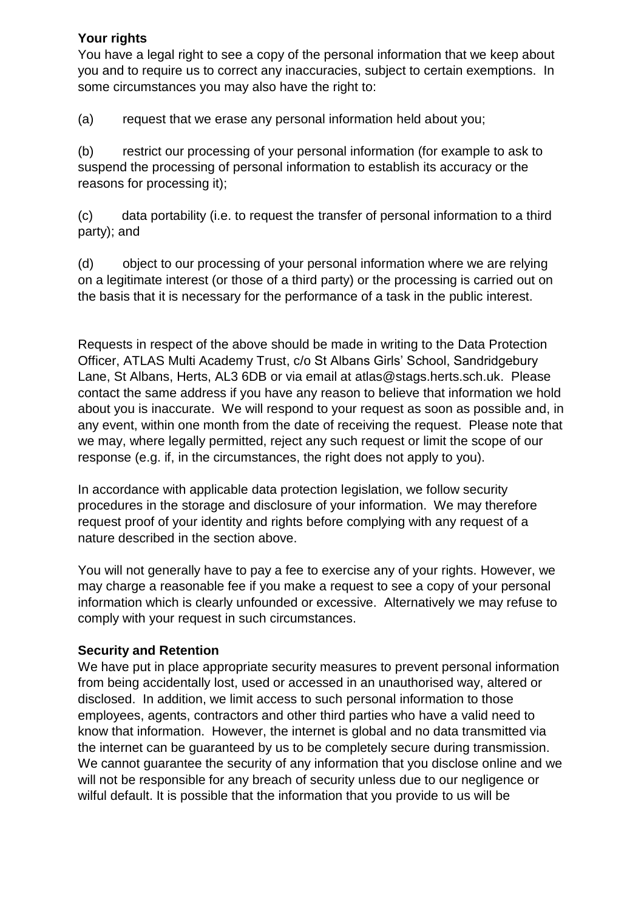## **Your rights**

You have a legal right to see a copy of the personal information that we keep about you and to require us to correct any inaccuracies, subject to certain exemptions. In some circumstances you may also have the right to:

(a) request that we erase any personal information held about you;

(b) restrict our processing of your personal information (for example to ask to suspend the processing of personal information to establish its accuracy or the reasons for processing it);

(c) data portability (i.e. to request the transfer of personal information to a third party); and

(d) object to our processing of your personal information where we are relying on a legitimate interest (or those of a third party) or the processing is carried out on the basis that it is necessary for the performance of a task in the public interest.

Requests in respect of the above should be made in writing to the Data Protection Officer, ATLAS Multi Academy Trust, c/o St Albans Girls' School, Sandridgebury Lane, St Albans, Herts, AL3 6DB or via email at atlas@stags.herts.sch.uk. Please contact the same address if you have any reason to believe that information we hold about you is inaccurate. We will respond to your request as soon as possible and, in any event, within one month from the date of receiving the request. Please note that we may, where legally permitted, reject any such request or limit the scope of our response (e.g. if, in the circumstances, the right does not apply to you).

In accordance with applicable data protection legislation, we follow security procedures in the storage and disclosure of your information. We may therefore request proof of your identity and rights before complying with any request of a nature described in the section above.

You will not generally have to pay a fee to exercise any of your rights. However, we may charge a reasonable fee if you make a request to see a copy of your personal information which is clearly unfounded or excessive. Alternatively we may refuse to comply with your request in such circumstances.

## **Security and Retention**

We have put in place appropriate security measures to prevent personal information from being accidentally lost, used or accessed in an unauthorised way, altered or disclosed. In addition, we limit access to such personal information to those employees, agents, contractors and other third parties who have a valid need to know that information. However, the internet is global and no data transmitted via the internet can be guaranteed by us to be completely secure during transmission. We cannot guarantee the security of any information that you disclose online and we will not be responsible for any breach of security unless due to our negligence or wilful default. It is possible that the information that you provide to us will be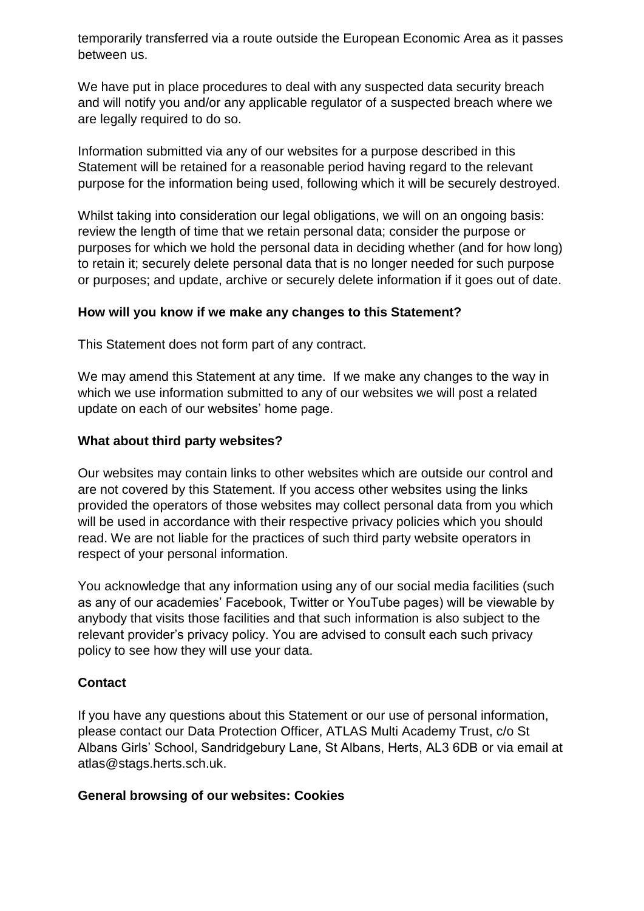temporarily transferred via a route outside the European Economic Area as it passes between us.

We have put in place procedures to deal with any suspected data security breach and will notify you and/or any applicable regulator of a suspected breach where we are legally required to do so.

Information submitted via any of our websites for a purpose described in this Statement will be retained for a reasonable period having regard to the relevant purpose for the information being used, following which it will be securely destroyed.

Whilst taking into consideration our legal obligations, we will on an ongoing basis: review the length of time that we retain personal data; consider the purpose or purposes for which we hold the personal data in deciding whether (and for how long) to retain it; securely delete personal data that is no longer needed for such purpose or purposes; and update, archive or securely delete information if it goes out of date.

## **How will you know if we make any changes to this Statement?**

This Statement does not form part of any contract.

We may amend this Statement at any time. If we make any changes to the way in which we use information submitted to any of our websites we will post a related update on each of our websites' home page.

## **What about third party websites?**

Our websites may contain links to other websites which are outside our control and are not covered by this Statement. If you access other websites using the links provided the operators of those websites may collect personal data from you which will be used in accordance with their respective privacy policies which you should read. We are not liable for the practices of such third party website operators in respect of your personal information.

You acknowledge that any information using any of our social media facilities (such as any of our academies' Facebook, Twitter or YouTube pages) will be viewable by anybody that visits those facilities and that such information is also subject to the relevant provider's privacy policy. You are advised to consult each such privacy policy to see how they will use your data.

## **Contact**

If you have any questions about this Statement or our use of personal information, please contact our Data Protection Officer, ATLAS Multi Academy Trust, c/o St Albans Girls' School, Sandridgebury Lane, St Albans, Herts, AL3 6DB or via email at atlas@stags.herts.sch.uk.

## **General browsing of our websites: Cookies**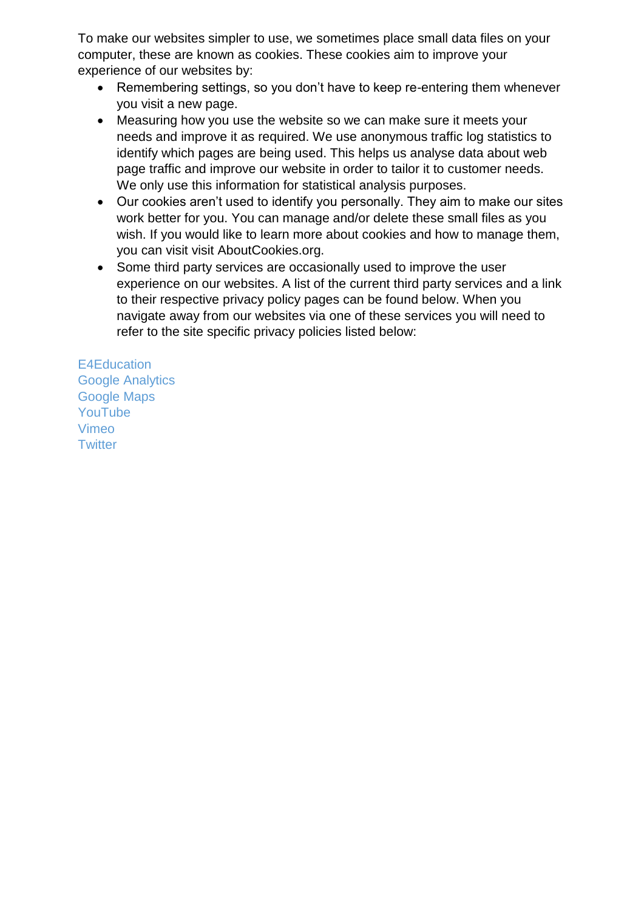To make our websites simpler to use, we sometimes place small data files on your computer, these are known as cookies. These cookies aim to improve your experience of our websites by:

- Remembering settings, so you don't have to keep re-entering them whenever you visit a new page.
- Measuring how you use the website so we can make sure it meets your needs and improve it as required. We use anonymous traffic log statistics to identify which pages are being used. This helps us analyse data about web page traffic and improve our website in order to tailor it to customer needs. We only use this information for statistical analysis purposes.
- Our cookies aren't used to identify you personally. They aim to make our sites work better for you. You can manage and/or delete these small files as you wish. If you would like to learn more about cookies and how to manage them, you can visit visit AboutCookies.org.
- Some third party services are occasionally used to improve the user experience on our websites. A list of the current third party services and a link to their respective privacy policy pages can be found below. When you navigate away from our websites via one of these services you will need to refer to the site specific privacy policies listed below:

E4Education Google Analytics Google Maps YouTube Vimeo **Twitter**